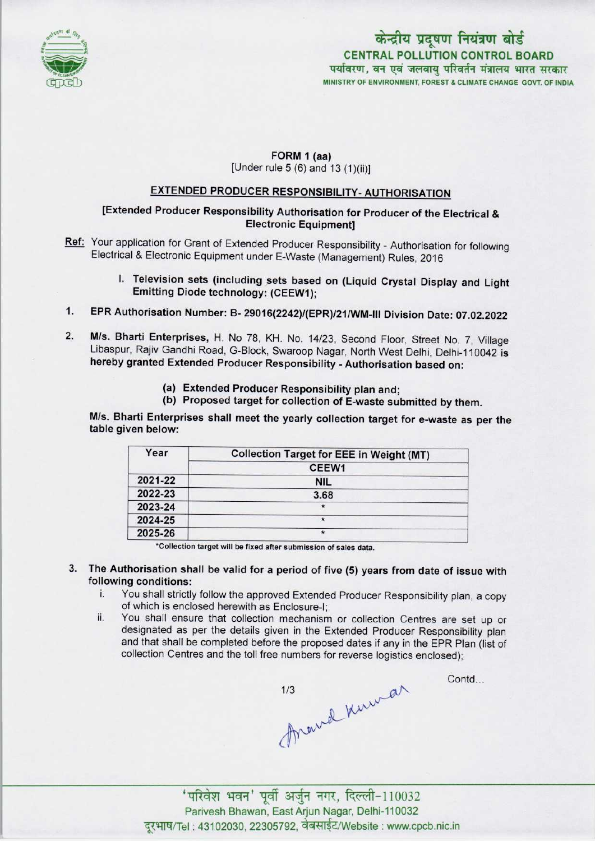

# MINISTRY OF ENVIRONMENT, FOREST & CLIMATE CHANGE GOVT. OF INDIA केन्द्रीय प्रदूषण नियंत्रण बोर्ड CENTRAL POLLUTION CONTROL BOARD<br>पर्यावरण, वन एवं जलवाय परिवर्तन मंत्रालय भारत सरकार

### FORM 1 (aa) [Under rule 5 (6) and 13 (1)(ii)]

## EXTENDED PRODUCER RESPONSIBILITY-AUTHORISATION

#### [Extended Producer Responsibility Authorisation for Producer of the Electrical & Electronic Equipment]

- Ref: Your application for Grant of Extended Producer Responsibility Authorisation for following Electrical & Electronic Equipment under E-Waste (Management) Rules, 2016
	- I. Television sets (including sets based on (Liquid Crystal Display and Light Emitting Diode technology: (CEEW1);
- 1.EPR Authorisation Number: B- 29016(2242)/(EPR)/21/WM-lll Division Date: 07.02.2022
- 2.M/s. Bharti Enterprises, H. No 78, KH. No. 14/23. Second Floor, Street No. 7, Village Libaspur, Rajiv Gandhi Road, G-Block, Swaroop Nagar, North West Delhi, Delhi-110042 is hereby granted Extended Producer Responsibility • Authorisation based on:
	- (a)Extended Producer Responsibility plan and;
	- (b) Proposed target for collection of E-waste submitted by them.

M/s. Bharti Enterprises shall meet the yearly collection target for e-waste as per the table given below:

| Year    | <b>Collection Target for EEE in Weight (MT)</b> |  |
|---------|-------------------------------------------------|--|
|         | CEEW <sub>1</sub>                               |  |
| 2021-22 | <b>NIL</b>                                      |  |
| 2022-23 | 3.68                                            |  |
| 2023-24 |                                                 |  |
| 2024-25 | $\star$                                         |  |
| 2025-26 |                                                 |  |

'Collection target will be fixed after submission of sales data.

- 3. The Authorisation shall be valid for a period of five (5) years from date of issue with following conditions:
	- i. You shall strictly follow the approved Extended Producer Responsibility plan, <sup>a</sup> copy of which is enclosed herewith as Enclosure-I;
	- ii. You shall ensure that collection mechanism or collection Centres are set up or designated as per the details given in the Extended Producer Responsibility plan and that shall be completed before the proposed dates if any in the EPR Plan (list of collection Centres and the toll free numbers for reverse logistics enclosed);

1/3 Arawal Kuman

Contd...

' परिवेश भवन' पूर्वी अर्जुन नगर, दिल्ली-110032 Parivesh Bhawan, EastArjun Nagar, Delhi-110032 दूरभाष/Tel: 43102030, 22305792, वेबसाईट/Website : www.cpcb.nic.in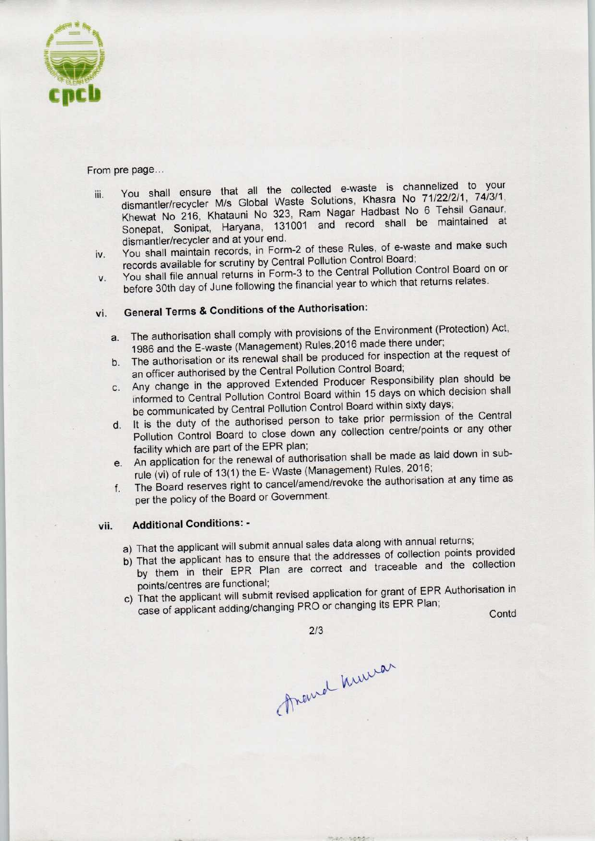

#### From pre page...

- iii. You shall ensure that all the collected e-waste is channelized to your dismantler/recycler M/s Global Waste Solutions, Khasra No 71/22/2/1, 74/3/1, Khewat No 216, Khatauni No 323, Ram Nagar Hadbast No 6 Tehsil Ganaur, Sonepat, Sonipat, Haryana, 131001 and record shall be maintained at dismantler/recycler and at your end.
- iv. You shall maintain records, in Form-2 of these Rules, of e-waste and make such records available for scrutiny by Central Pollution Control Board;
- v. You shall file annual returns in Form-3 to the Central Pollution Control Board on or before 30th day of June following the financial year to which that returns relates.

## vi. General Terms & Conditions of the Authorisation:

- a. The authorisation shall comply with provisions of the Environment (Protection) Act, 1986 and the E-waste (Management) Rules,2016 made there under;
- b. The authorisation or its renewal shall be produced for inspection at the request of an officer authorised by the Central Pollution Control Board;
- c. Any change in the approved Extended Producer Responsibility plan should be informed to Central Pollution Control Board within 15 days on which decision shall be communicated by Central Pollution Control Board within sixty days;
- d. It is the duty of the authorised person to take prior permission of the Central Pollution Control Board to close down any collection centre/points or any other facility which are part of the EPR plan;
- e.An application for the renewal of authorisation shall be made as laid down in subrule (vi) of rule of 13(1) the E-Waste (Management) Rules, 2016;
- f. The Board reserves right to cancel/amend/revoke the authorisation at any time as per the policy of the Board or Government.

### vii. Additional Conditions: -

- a) That the applicant will submit annual sales data along with annual returns;
- a) That the applicant will submit annual sales data along with different points provided<br>by The title configent has to ensure that the addresses of collection points provided by them in their EPR Plan are correct and traceable and the collection points/centres are functional; That the applicant will submit annual sales data along with annual returm<br>That the applicant has to ensure that the addresses of collection point<br>by them in their EPR Plan are correct and traceable and the<br>points/centres a
- points/centres are functional;<br>
c) That the applicant will submit revised application for grant of EPR Authorisation in<br>
case of applicant adding/changing PRO or changing its EPR Plan;<br>
Contd

2/3

themal human